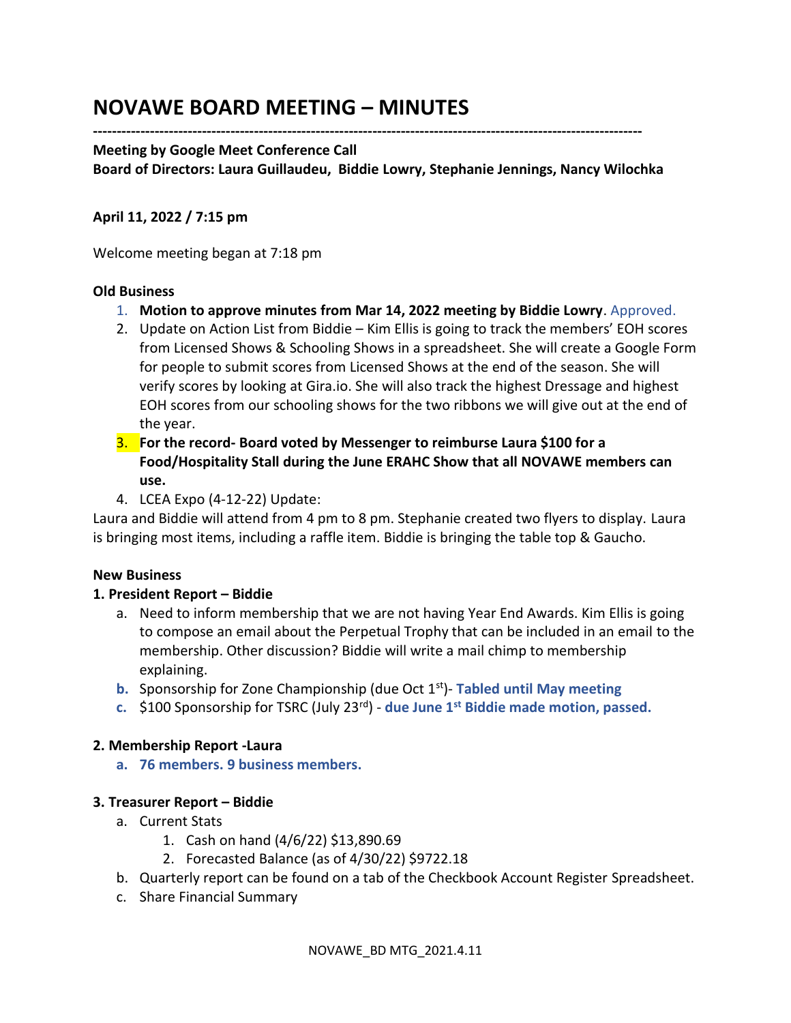# **NOVAWE BOARD MEETING – MINUTES**

## **--------------------------------------------------------------------------------------------------------------------**

#### **Meeting by Google Meet Conference Call**

**Board of Directors: Laura Guillaudeu, Biddie Lowry, Stephanie Jennings, Nancy Wilochka**

## **April 11, 2022 / 7:15 pm**

Welcome meeting began at 7:18 pm

#### **Old Business**

- 1. **Motion to approve minutes from Mar 14, 2022 meeting by Biddie Lowry**. Approved.
- 2. Update on Action List from Biddie Kim Ellis is going to track the members' EOH scores from Licensed Shows & Schooling Shows in a spreadsheet. She will create a Google Form for people to submit scores from Licensed Shows at the end of the season. She will verify scores by looking at Gira.io. She will also track the highest Dressage and highest EOH scores from our schooling shows for the two ribbons we will give out at the end of the year.
- 3. **For the record- Board voted by Messenger to reimburse Laura \$100 for a Food/Hospitality Stall during the June ERAHC Show that all NOVAWE members can use.**
- 4. LCEA Expo (4-12-22) Update:

Laura and Biddie will attend from 4 pm to 8 pm. Stephanie created two flyers to display. Laura is bringing most items, including a raffle item. Biddie is bringing the table top & Gaucho.

## **New Business**

## **1. President Report – Biddie**

- a. Need to inform membership that we are not having Year End Awards. Kim Ellis is going to compose an email about the Perpetual Trophy that can be included in an email to the membership. Other discussion? Biddie will write a mail chimp to membership explaining.
- **b.** Sponsorship for Zone Championship (due Oct 1<sup>st</sup>)- Tabled until May meeting
- **c.** \$100 Sponsorship for TSRC (July 23rd) **due June 1st Biddie made motion, passed.**

## **2. Membership Report -Laura**

**a. 76 members. 9 business members.** 

## **3. Treasurer Report – Biddie**

- a. Current Stats
	- 1. Cash on hand (4/6/22) \$13,890.69
	- 2. Forecasted Balance (as of 4/30/22) \$9722.18
- b. Quarterly report can be found on a tab of the Checkbook Account Register Spreadsheet.
- c. Share Financial Summary